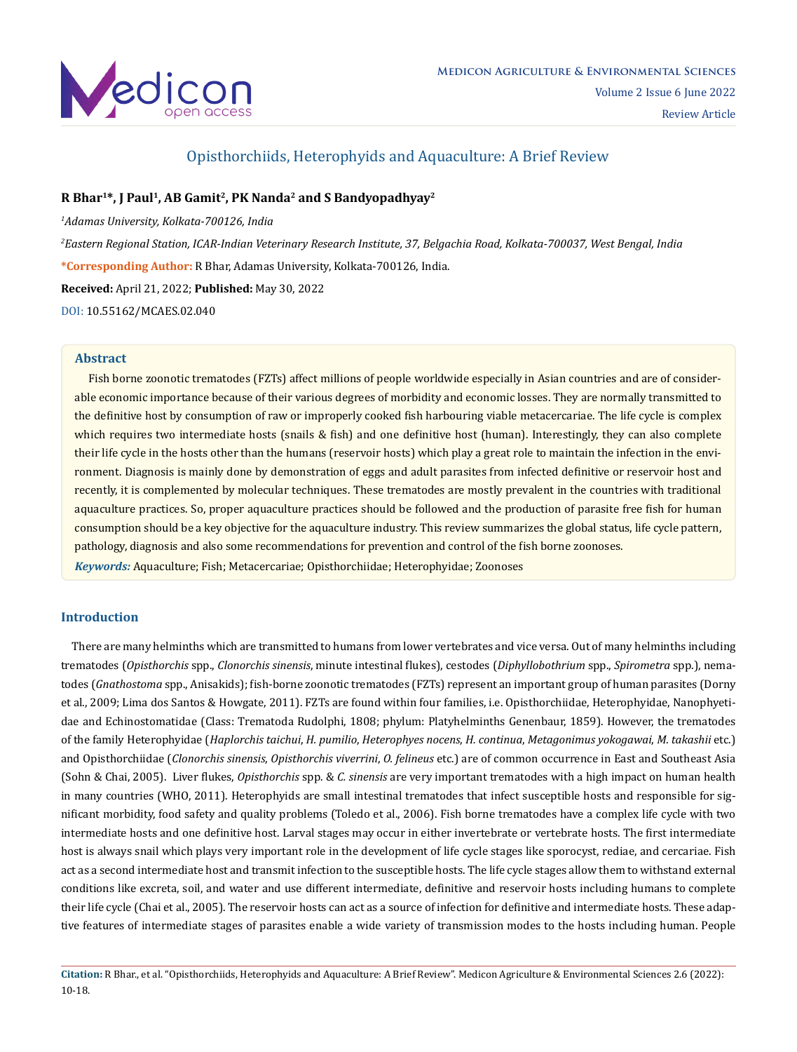

# Opisthorchiids, Heterophyids and Aquaculture: A Brief Review

# **R Bhar1\*, J Paul1, AB Gamit2, PK Nanda2 and S Bandyopadhyay2**

*1 Adamas University, Kolkata-700126, India*

*2 Eastern Regional Station, ICAR-Indian Veterinary Research Institute, 37, Belgachia Road, Kolkata-700037, West Bengal, India* **\*Corresponding Author:** R Bhar, Adamas University, Kolkata-700126, India.

**Received:** April 21, 2022; **Published:** May 30, 2022

[DOI: 10.55162/MCAES.02.040](https://doi.org/10.55162/MCAES.02.040)

### **Abstract**

Fish borne zoonotic trematodes (FZTs) affect millions of people worldwide especially in Asian countries and are of considerable economic importance because of their various degrees of morbidity and economic losses. They are normally transmitted to the definitive host by consumption of raw or improperly cooked fish harbouring viable metacercariae. The life cycle is complex which requires two intermediate hosts (snails & fish) and one definitive host (human). Interestingly, they can also complete their life cycle in the hosts other than the humans (reservoir hosts) which play a great role to maintain the infection in the environment. Diagnosis is mainly done by demonstration of eggs and adult parasites from infected definitive or reservoir host and recently, it is complemented by molecular techniques. These trematodes are mostly prevalent in the countries with traditional aquaculture practices. So, proper aquaculture practices should be followed and the production of parasite free fish for human consumption should be a key objective for the aquaculture industry. This review summarizes the global status, life cycle pattern, pathology, diagnosis and also some recommendations for prevention and control of the fish borne zoonoses. *Keywords:* Aquaculture; Fish; Metacercariae; Opisthorchiidae; Heterophyidae; Zoonoses

## **Introduction**

 There are many helminths which are transmitted to humans from lower vertebrates and vice versa. Out of many helminths including trematodes (*Opisthorchis* spp., *Clonorchis sinensis*, minute intestinal flukes), cestodes (*Diphyllobothrium* spp., *Spirometra* spp.), nematodes (*Gnathostoma* spp., Anisakids); fish-borne zoonotic trematodes (FZTs) represent an important group of human parasites (Dorny et al., 2009; Lima dos Santos & Howgate, 2011). FZTs are found within four families, i.e. Opisthorchiidae, Heterophyidae, Nanophyetidae and Echinostomatidae (Class: Trematoda Rudolphi, 1808; phylum: Platyhelminths Genenbaur, 1859). However, the trematodes of the family Heterophyidae (*Haplorchis taichui*, *H. pumilio*, *Heterophyes nocens*, *H. continua*, *Metagonimus yokogawai*, *M. takashii* etc.) and Opisthorchiidae (*Clonorchis sinensis*, *Opisthorchis viverrini*, *O. felineus* etc.) are of common occurrence in East and Southeast Asia (Sohn & Chai, 2005). Liver flukes, *Opisthorchis* spp. & *C. sinensis* are very important trematodes with a high impact on human health in many countries (WHO, 2011). Heterophyids are small intestinal trematodes that infect susceptible hosts and responsible for significant morbidity, food safety and quality problems (Toledo et al., 2006). Fish borne trematodes have a complex life cycle with two intermediate hosts and one definitive host. Larval stages may occur in either invertebrate or vertebrate hosts. The first intermediate host is always snail which plays very important role in the development of life cycle stages like sporocyst, rediae, and cercariae. Fish act as a second intermediate host and transmit infection to the susceptible hosts. The life cycle stages allow them to withstand external conditions like excreta, soil, and water and use different intermediate, definitive and reservoir hosts including humans to complete their life cycle (Chai et al., 2005). The reservoir hosts can act as a source of infection for definitive and intermediate hosts. These adaptive features of intermediate stages of parasites enable a wide variety of transmission modes to the hosts including human. People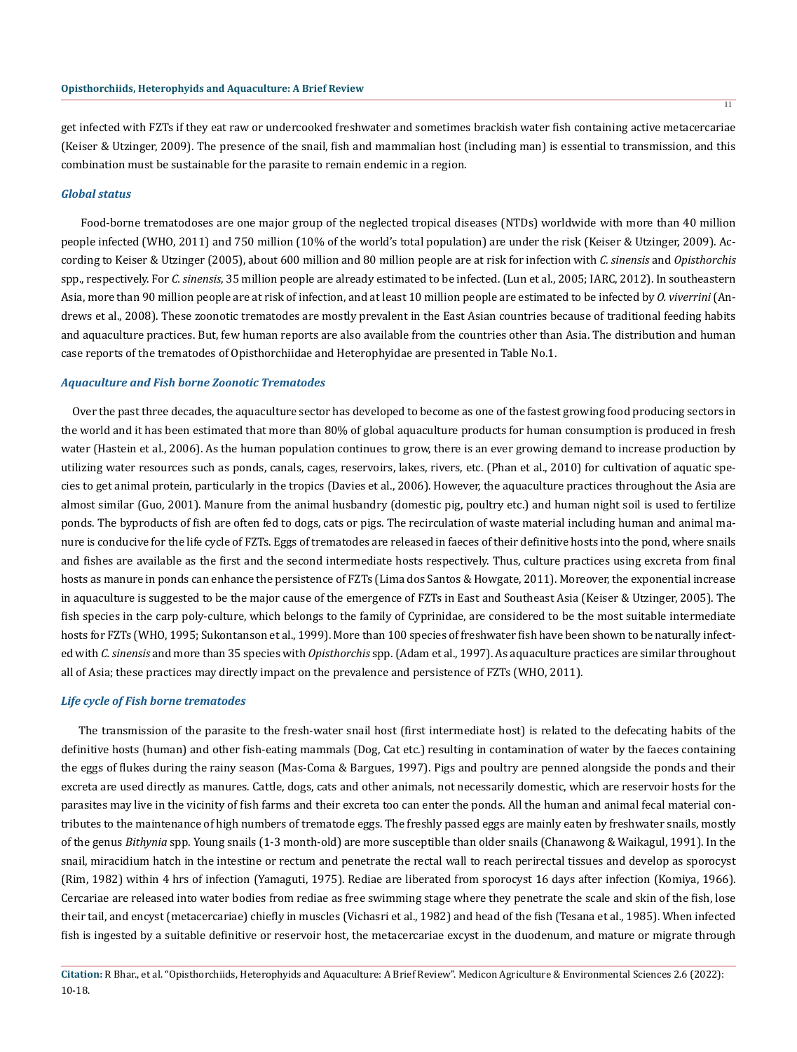get infected with FZTs if they eat raw or undercooked freshwater and sometimes brackish water fish containing active metacercariae (Keiser & Utzinger, 2009). The presence of the snail, fish and mammalian host (including man) is essential to transmission, and this combination must be sustainable for the parasite to remain endemic in a region.

#### *Global status*

 Food-borne trematodoses are one major group of the neglected tropical diseases (NTDs) worldwide with more than 40 million people infected (WHO, 2011) and 750 million (10% of the world's total population) are under the risk (Keiser & Utzinger, 2009). According to Keiser & Utzinger (2005), about 600 million and 80 million people are at risk for infection with *C. sinensis* and *Opisthorchis* spp., respectively. For *C. sinensis*, 35 million people are already estimated to be infected. (Lun et al., 2005; IARC, 2012). In southeastern Asia, more than 90 million people are at risk of infection, and at least 10 million people are estimated to be infected by *O. viverrini* (Andrews et al., 2008). These zoonotic trematodes are mostly prevalent in the East Asian countries because of traditional feeding habits and aquaculture practices. But, few human reports are also available from the countries other than Asia. The distribution and human case reports of the trematodes of Opisthorchiidae and Heterophyidae are presented in Table No.1.

#### *Aquaculture and Fish borne Zoonotic Trematodes*

 Over the past three decades, the aquaculture sector has developed to become as one of the fastest growing food producing sectors in the world and it has been estimated that more than 80% of global aquaculture products for human consumption is produced in fresh water (Hastein et al., 2006). As the human population continues to grow, there is an ever growing demand to increase production by utilizing water resources such as ponds, canals, cages, reservoirs, lakes, rivers, etc. (Phan et al., 2010) for cultivation of aquatic species to get animal protein, particularly in the tropics (Davies et al., 2006). However, the aquaculture practices throughout the Asia are almost similar (Guo, 2001). Manure from the animal husbandry (domestic pig, poultry etc.) and human night soil is used to fertilize ponds. The byproducts of fish are often fed to dogs, cats or pigs. The recirculation of waste material including human and animal manure is conducive for the life cycle of FZTs. Eggs of trematodes are released in faeces of their definitive hosts into the pond, where snails and fishes are available as the first and the second intermediate hosts respectively. Thus, culture practices using excreta from final hosts as manure in ponds can enhance the persistence of FZTs (Lima dos Santos & Howgate, 2011). Moreover, the exponential increase in aquaculture is suggested to be the major cause of the emergence of FZTs in East and Southeast Asia (Keiser & Utzinger, 2005). The fish species in the carp poly-culture, which belongs to the family of Cyprinidae, are considered to be the most suitable intermediate hosts for FZTs (WHO, 1995; Sukontanson et al., 1999). More than 100 species of freshwater fish have been shown to be naturally infected with *C. sinensis* and more than 35 species with *Opisthorchis* spp. (Adam et al., 1997). As aquaculture practices are similar throughout all of Asia; these practices may directly impact on the prevalence and persistence of FZTs (WHO, 2011).

#### *Life cycle of Fish borne trematodes*

 The transmission of the parasite to the fresh-water snail host (first intermediate host) is related to the defecating habits of the definitive hosts (human) and other fish-eating mammals (Dog, Cat etc.) resulting in contamination of water by the faeces containing the eggs of flukes during the rainy season (Mas-Coma & Bargues, 1997). Pigs and poultry are penned alongside the ponds and their excreta are used directly as manures. Cattle, dogs, cats and other animals, not necessarily domestic, which are reservoir hosts for the parasites may live in the vicinity of fish farms and their excreta too can enter the ponds. All the human and animal fecal material contributes to the maintenance of high numbers of trematode eggs. The freshly passed eggs are mainly eaten by freshwater snails, mostly of the genus *Bithynia* spp. Young snails (1-3 month-old) are more susceptible than older snails (Chanawong & Waikagul, 1991). In the snail, miracidium hatch in the intestine or rectum and penetrate the rectal wall to reach perirectal tissues and develop as sporocyst (Rim, 1982) within 4 hrs of infection (Yamaguti, 1975). Rediae are liberated from sporocyst 16 days after infection (Komiya, 1966). Cercariae are released into water bodies from rediae as free swimming stage where they penetrate the scale and skin of the fish, lose their tail, and encyst (metacercariae) chiefly in muscles (Vichasri et al., 1982) and head of the fish (Tesana et al., 1985). When infected fish is ingested by a suitable definitive or reservoir host, the metacercariae excyst in the duodenum, and mature or migrate through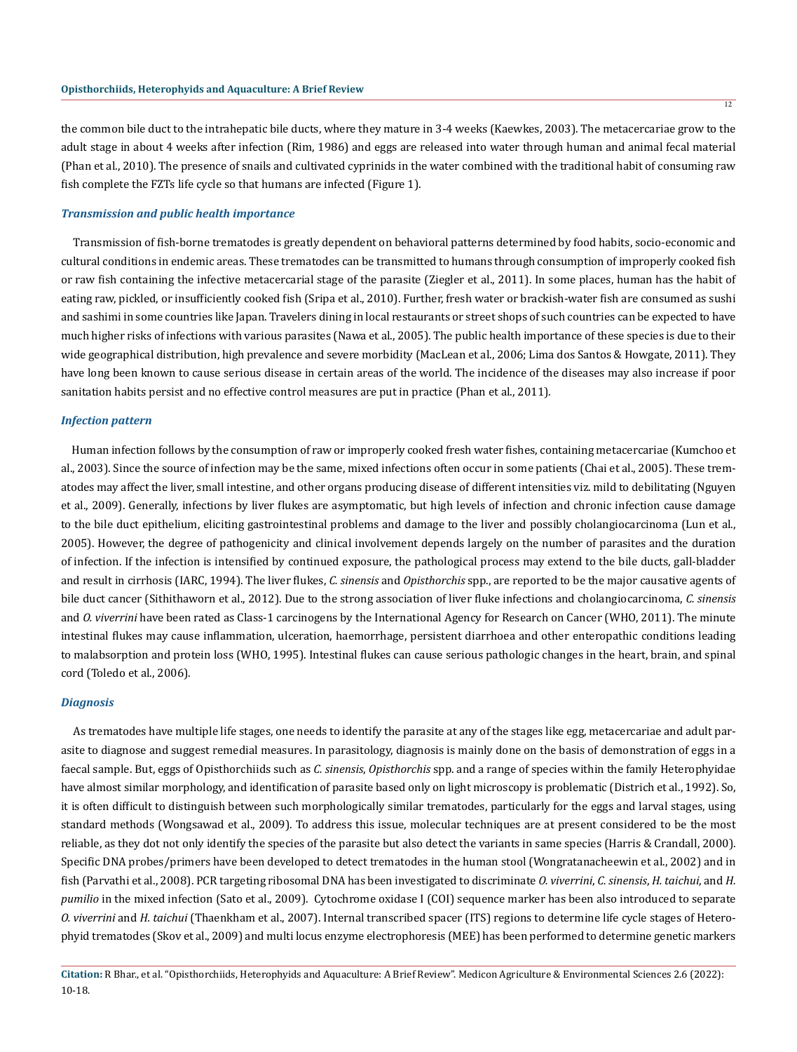the common bile duct to the intrahepatic bile ducts, where they mature in 3-4 weeks (Kaewkes, 2003). The metacercariae grow to the adult stage in about 4 weeks after infection (Rim, 1986) and eggs are released into water through human and animal fecal material (Phan et al., 2010). The presence of snails and cultivated cyprinids in the water combined with the traditional habit of consuming raw fish complete the FZTs life cycle so that humans are infected (Figure 1).

#### *Transmission and public health importance*

 Transmission of fish-borne trematodes is greatly dependent on behavioral patterns determined by food habits, socio-economic and cultural conditions in endemic areas. These trematodes can be transmitted to humans through consumption of improperly cooked fish or raw fish containing the infective metacercarial stage of the parasite (Ziegler et al., 2011). In some places, human has the habit of eating raw, pickled, or insufficiently cooked fish (Sripa et al., 2010). Further, fresh water or brackish-water fish are consumed as sushi and sashimi in some countries like Japan. Travelers dining in local restaurants or street shops of such countries can be expected to have much higher risks of infections with various parasites (Nawa et al., 2005). The public health importance of these species is due to their wide geographical distribution, high prevalence and severe morbidity (MacLean et al., 2006; Lima dos Santos & Howgate, 2011). They have long been known to cause serious disease in certain areas of the world. The incidence of the diseases may also increase if poor sanitation habits persist and no effective control measures are put in practice (Phan et al., 2011).

#### *Infection pattern*

 Human infection follows by the consumption of raw or improperly cooked fresh water fishes, containing metacercariae (Kumchoo et al., 2003). Since the source of infection may be the same, mixed infections often occur in some patients (Chai et al., 2005). These trematodes may affect the liver, small intestine, and other organs producing disease of different intensities viz. mild to debilitating (Nguyen et al., 2009). Generally, infections by liver flukes are asymptomatic, but high levels of infection and chronic infection cause damage to the bile duct epithelium, eliciting gastrointestinal problems and damage to the liver and possibly cholangiocarcinoma (Lun et al., 2005). However, the degree of pathogenicity and clinical involvement depends largely on the number of parasites and the duration of infection. If the infection is intensified by continued exposure, the pathological process may extend to the bile ducts, gall-bladder and result in cirrhosis (IARC, 1994). The liver flukes, *C. sinensis* and *Opisthorchis* spp., are reported to be the major causative agents of bile duct cancer (Sithithaworn et al., 2012). Due to the strong association of liver fluke infections and cholangiocarcinoma, *C. sinensis* and *O. viverrini* have been rated as Class-1 carcinogens by the International Agency for Research on Cancer (WHO, 2011). The minute intestinal flukes may cause inflammation, ulceration, haemorrhage, persistent diarrhoea and other enteropathic conditions leading to malabsorption and protein loss (WHO, 1995). Intestinal flukes can cause serious pathologic changes in the heart, brain, and spinal cord (Toledo et al., 2006).

#### *Diagnosis*

 As trematodes have multiple life stages, one needs to identify the parasite at any of the stages like egg, metacercariae and adult parasite to diagnose and suggest remedial measures. In parasitology, diagnosis is mainly done on the basis of demonstration of eggs in a faecal sample. But, eggs of Opisthorchiids such as *C. sinensis*, *Opisthorchis* spp. and a range of species within the family Heterophyidae have almost similar morphology, and identification of parasite based only on light microscopy is problematic (Districh et al., 1992). So, it is often difficult to distinguish between such morphologically similar trematodes, particularly for the eggs and larval stages, using standard methods (Wongsawad et al., 2009). To address this issue, molecular techniques are at present considered to be the most reliable, as they dot not only identify the species of the parasite but also detect the variants in same species (Harris & Crandall, 2000). Specific DNA probes/primers have been developed to detect trematodes in the human stool (Wongratanacheewin et al., 2002) and in fish (Parvathi et al., 2008). PCR targeting ribosomal DNA has been investigated to discriminate *O. viverrini*, *C. sinensis*, *H. taichui*, and *H. pumilio* in the mixed infection (Sato et al., 2009). Cytochrome oxidase I (COI) sequence marker has been also introduced to separate *O. viverrini* and *H. taichui* (Thaenkham et al., 2007). Internal transcribed spacer (ITS) regions to determine life cycle stages of Heterophyid trematodes (Skov et al., 2009) and multi locus enzyme electrophoresis (MEE) has been performed to determine genetic markers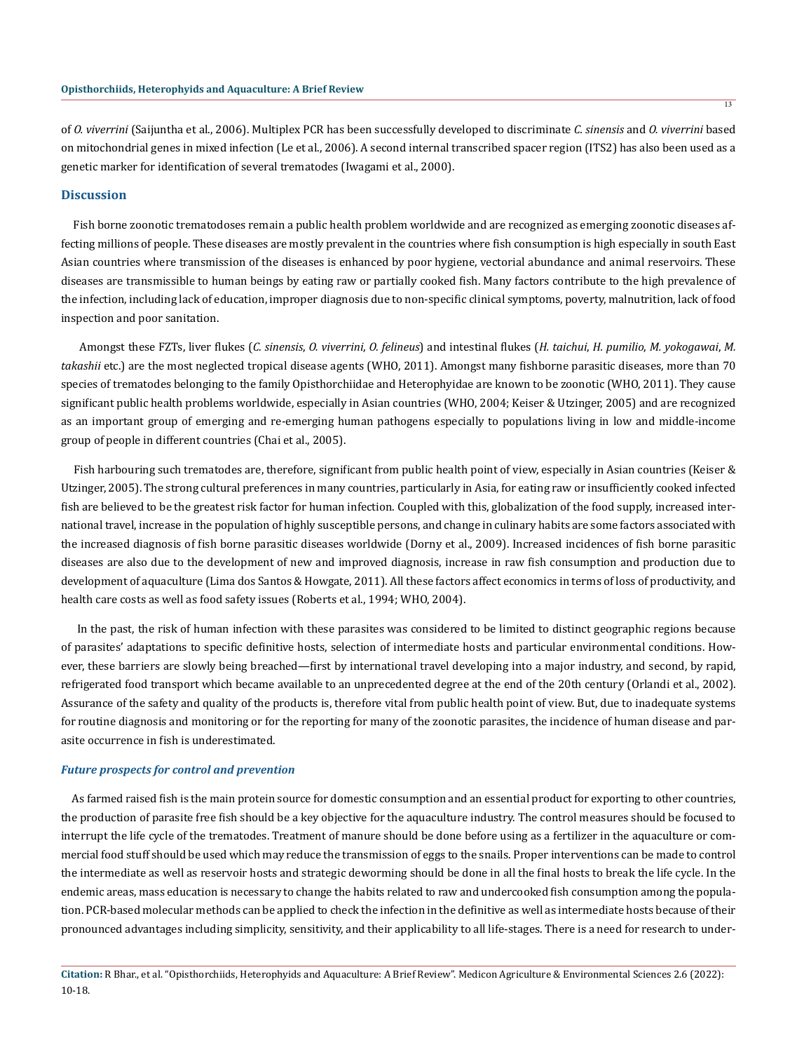of *O. viverrini* (Saijuntha et al., 2006). Multiplex PCR has been successfully developed to discriminate *C. sinensis* and *O. viverrini* based on mitochondrial genes in mixed infection (Le et al., 2006). A second internal transcribed spacer region (ITS2) has also been used as a genetic marker for identification of several trematodes (Iwagami et al., 2000).

### **Discussion**

 Fish borne zoonotic trematodoses remain a public health problem worldwide and are recognized as emerging zoonotic diseases affecting millions of people. These diseases are mostly prevalent in the countries where fish consumption is high especially in south East Asian countries where transmission of the diseases is enhanced by poor hygiene, vectorial abundance and animal reservoirs. These diseases are transmissible to human beings by eating raw or partially cooked fish. Many factors contribute to the high prevalence of the infection, including lack of education, improper diagnosis due to non-specific clinical symptoms, poverty, malnutrition, lack of food inspection and poor sanitation.

 Amongst these FZTs, liver flukes (*C. sinensis*, *O. viverrini*, *O. felineus*) and intestinal flukes (*H. taichui*, *H. pumilio*, *M. yokogawai*, *M. takashii* etc.) are the most neglected tropical disease agents (WHO, 2011). Amongst many fishborne parasitic diseases, more than 70 species of trematodes belonging to the family Opisthorchiidae and Heterophyidae are known to be zoonotic (WHO, 2011). They cause significant public health problems worldwide, especially in Asian countries (WHO, 2004; Keiser & Utzinger, 2005) and are recognized as an important group of emerging and re-emerging human pathogens especially to populations living in low and middle-income group of people in different countries (Chai et al., 2005).

 Fish harbouring such trematodes are, therefore, significant from public health point of view, especially in Asian countries (Keiser & Utzinger, 2005). The strong cultural preferences in many countries, particularly in Asia, for eating raw or insufficiently cooked infected fish are believed to be the greatest risk factor for human infection. Coupled with this, globalization of the food supply, increased international travel, increase in the population of highly susceptible persons, and change in culinary habits are some factors associated with the increased diagnosis of fish borne parasitic diseases worldwide (Dorny et al., 2009). Increased incidences of fish borne parasitic diseases are also due to the development of new and improved diagnosis, increase in raw fish consumption and production due to development of aquaculture (Lima dos Santos & Howgate, 2011). All these factors affect economics in terms of loss of productivity, and health care costs as well as food safety issues (Roberts et al., 1994; WHO, 2004).

 In the past, the risk of human infection with these parasites was considered to be limited to distinct geographic regions because of parasites' adaptations to specific definitive hosts, selection of intermediate hosts and particular environmental conditions. However, these barriers are slowly being breached—first by international travel developing into a major industry, and second, by rapid, refrigerated food transport which became available to an unprecedented degree at the end of the 20th century (Orlandi et al., 2002). Assurance of the safety and quality of the products is, therefore vital from public health point of view. But, due to inadequate systems for routine diagnosis and monitoring or for the reporting for many of the zoonotic parasites, the incidence of human disease and parasite occurrence in fish is underestimated.

#### *Future prospects for control and prevention*

 As farmed raised fish is the main protein source for domestic consumption and an essential product for exporting to other countries, the production of parasite free fish should be a key objective for the aquaculture industry. The control measures should be focused to interrupt the life cycle of the trematodes. Treatment of manure should be done before using as a fertilizer in the aquaculture or commercial food stuff should be used which may reduce the transmission of eggs to the snails. Proper interventions can be made to control the intermediate as well as reservoir hosts and strategic deworming should be done in all the final hosts to break the life cycle. In the endemic areas, mass education is necessary to change the habits related to raw and undercooked fish consumption among the population. PCR-based molecular methods can be applied to check the infection in the definitive as well as intermediate hosts because of their pronounced advantages including simplicity, sensitivity, and their applicability to all life-stages. There is a need for research to under-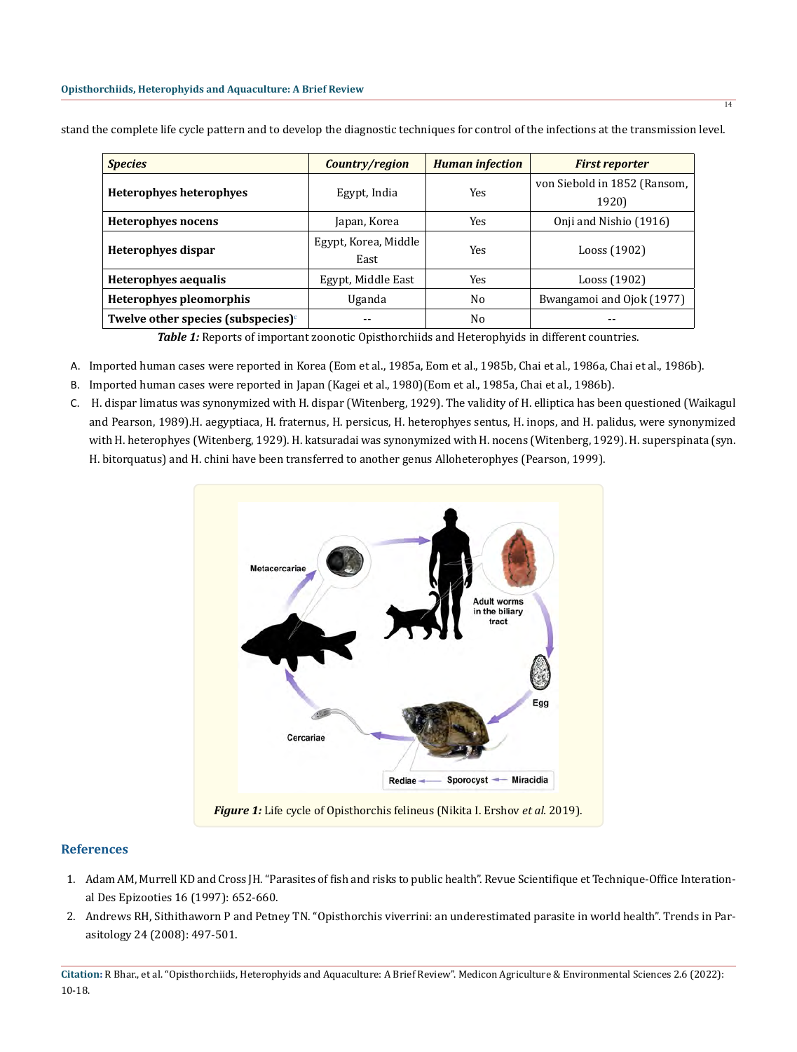| <i><b>Species</b></i>                     | Country/region               | <b>Human</b> infection | <b>First reporter</b>                 |
|-------------------------------------------|------------------------------|------------------------|---------------------------------------|
| Heterophyes heterophyes                   | Egypt, India                 | Yes                    | von Siebold in 1852 (Ransom,<br>1920) |
| Heterophyes nocens                        | Japan, Korea                 | Yes                    | Onji and Nishio (1916)                |
| Heterophyes dispar                        | Egypt, Korea, Middle<br>East | Yes                    | Looss (1902)                          |
| Heterophyes aequalis                      | Egypt, Middle East           | Yes                    | Looss (1902)                          |
| <b>Heterophyes pleomorphis</b>            | Uganda                       | No                     | Bwangamoi and Ojok (1977)             |
| Twelve other species (subspecies) $\circ$ |                              | No                     |                                       |

stand the complete life cycle pattern and to develop the diagnostic techniques for control of the infections at the transmission level.

Table 1: Reports of important zoonotic Opisthorchiids and Heterophyids in different countries.

- A. Imported human cases were reported in Korea (Eom et al., 1985a, Eom et al., 1985b, Chai et al., 1986a, Chai et al., 1986b).
- B. Imported human cases were reported in Japan (Kagei et al., 1980)(Eom et al., 1985a, Chai et al., 1986b).
- C. H. dispar limatus was synonymized with H. dispar (Witenberg, 1929). The validity of H. elliptica has been questioned (Waikagul and Pearson, 1989).H. aegyptiaca, H. fraternus, H. persicus, H. heterophyes sentus, H. inops, and H. palidus, were synonymized with H. heterophyes (Witenberg, 1929). H. katsuradai was synonymized with H. nocens (Witenberg, 1929). H. superspinata (syn. H. bitorquatus) and H. chini have been transferred to another genus Alloheterophyes (Pearson, 1999).



# **References**

- 1. [Adam AM, Murrell KD and Cross JH. "Parasites of fish and risks to public health". Revue Scientifique et Technique-Office Interation](https://pubmed.ncbi.nlm.nih.gov/9501379/)[al Des Epizooties 16 \(1997\): 652-660.](https://pubmed.ncbi.nlm.nih.gov/9501379/)
- 2. [Andrews RH, Sithithaworn P and Petney TN. "Opisthorchis viverrini: an underestimated parasite in world health". Trends in Par](https://pubmed.ncbi.nlm.nih.gov/18930439)[asitology 24 \(2008\): 497-501.](https://pubmed.ncbi.nlm.nih.gov/18930439)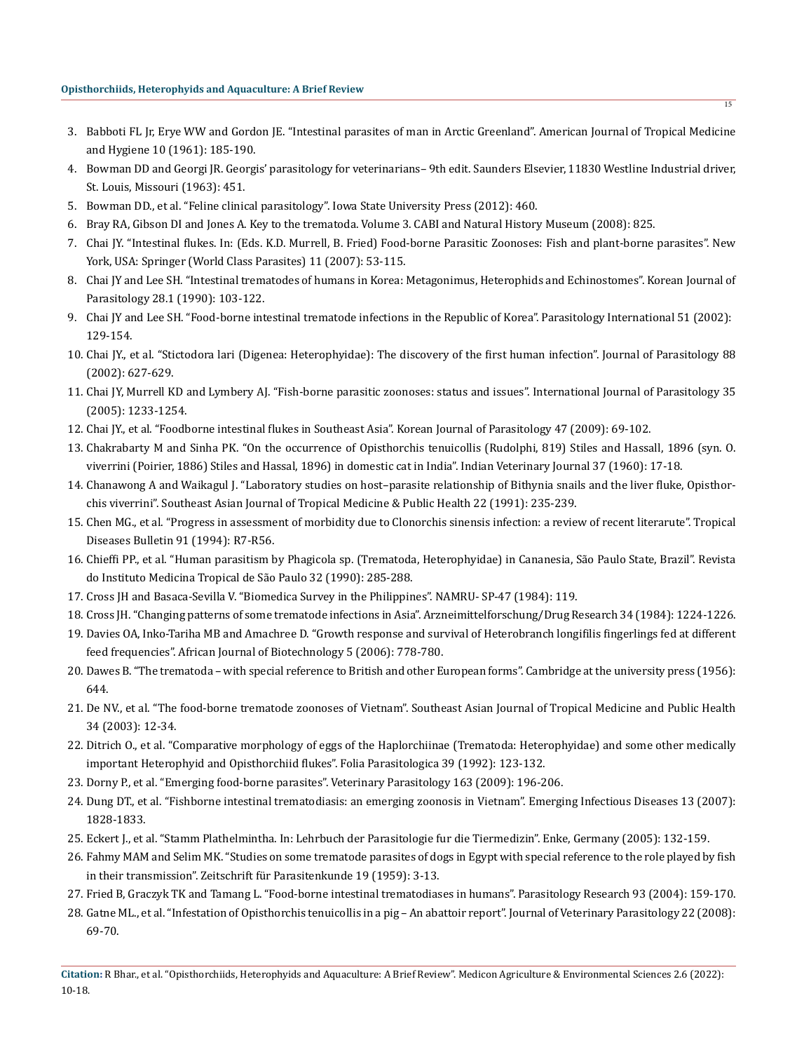- 3. [Babboti FL Jr, Erye WW and Gordon JE. "Intestinal parasites of man in Arctic Greenland". American Journal of Tropical Medicine](https://pubmed.ncbi.nlm.nih.gov/13685517/) [and Hygiene 10 \(1961\): 185-190.](https://pubmed.ncbi.nlm.nih.gov/13685517/)
- 4. Bowman DD and Georgi JR. Georgis' parasitology for veterinarians– 9th edit. Saunders Elsevier, 11830 Westline Industrial driver, St. Louis, Missouri (1963): 451.
- 5. Bowman DD., et al. "Feline clinical parasitology". Iowa State University Press (2012): 460.
- 6. Bray RA, Gibson DI and Jones A. Key to the trematoda. Volume 3. CABI and Natural History Museum (2008): 825.
- 7. Chai JY. "Intestinal flukes. In: (Eds. K.D. Murrell, B. Fried) Food-borne Parasitic Zoonoses: Fish and plant-borne parasites". New York, USA: Springer (World Class Parasites) 11 (2007): 53-115.
- 8. [Chai JY and Lee SH. "Intestinal trematodes of humans in Korea: Metagonimus, Heterophids and Echinostomes". Korean Journal of](https://pubmed.ncbi.nlm.nih.gov/2133416/) [Parasitology 28.1 \(1990\): 103-122.](https://pubmed.ncbi.nlm.nih.gov/2133416/)
- 9. [Chai JY and Lee SH. "Food-borne intestinal trematode infections in the Republic of Korea". Parasitology International 51 \(2002\):](https://pubmed.ncbi.nlm.nih.gov/12113752/)  [129-154.](https://pubmed.ncbi.nlm.nih.gov/12113752/)
- 10. [Chai JY., et al. "Stictodora lari \(Digenea: Heterophyidae\): The discovery of the first human infection". Journal of Parasitology 88](https://pubmed.ncbi.nlm.nih.gov/12099440/) [\(2002\): 627-629.](https://pubmed.ncbi.nlm.nih.gov/12099440/)
- 11. [Chai JY, Murrell KD and Lymbery AJ. "Fish-borne parasitic zoonoses: status and issues". International Journal of Parasitology 35](https://pubmed.ncbi.nlm.nih.gov/16143336/) [\(2005\): 1233-1254.](https://pubmed.ncbi.nlm.nih.gov/16143336/)
- 12. [Chai JY., et al. "Foodborne intestinal flukes in Southeast Asia". Korean Journal of Parasitology 47 \(2009\): 69-102.](https://pubmed.ncbi.nlm.nih.gov/19885337/)
- 13. Chakrabarty M and Sinha PK. "On the occurrence of Opisthorchis tenuicollis (Rudolphi, 819) Stiles and Hassall, 1896 (syn. O. viverrini (Poirier, 1886) Stiles and Hassal, 1896) in domestic cat in India". Indian Veterinary Journal 37 (1960): 17-18.
- 14. [Chanawong A and Waikagul J. "Laboratory studies on host–parasite relationship of Bithynia snails and the liver fluke, Opisthor](https://pubmed.ncbi.nlm.nih.gov/1948284/)[chis viverrini". Southeast Asian Journal of Tropical Medicine & Public Health 22 \(1991\): 235-239.](https://pubmed.ncbi.nlm.nih.gov/1948284/)
- 15. Chen MG., et al. "Progress in assessment of morbidity due to Clonorchis sinensis infection: a review of recent literarute". Tropical Diseases Bulletin 91 (1994): R7-R56.
- 16. [Chieffi PP., et al. "Human parasitism by Phagicola sp. \(Trematoda, Heterophyidae\) in Cananesia, São Paulo State, Brazil". Revista](https://pubmed.ncbi.nlm.nih.gov/2101522/) [do Instituto Medicina Tropical de São Paulo 32 \(1990\): 285-288.](https://pubmed.ncbi.nlm.nih.gov/2101522/)
- 17. Cross JH and Basaca-Sevilla V. "Biomedica Survey in the Philippines". NAMRU- SP-47 (1984): 119.
- 18. [Cross JH. "Changing patterns of some trematode infections in Asia". Arzneimittelforschung/Drug Research 34 \(1984\): 1224-1226.](https://pubmed.ncbi.nlm.nih.gov/6542400/)
- 19. Davies OA, Inko-Tariha MB and Amachree D. "Growth response and survival of Heterobranch longifilis fingerlings fed at different feed frequencies". African Journal of Biotechnology 5 (2006): 778-780.
- 20. Dawes B. "The trematoda with special reference to British and other European forms". Cambridge at the university press (1956): 644.
- 21. [De NV., et al. "The food-borne trematode zoonoses of Vietnam". Southeast Asian Journal of Tropical Medicine and Public Health](https://pubmed.ncbi.nlm.nih.gov/12971505/) [34 \(2003\): 12-34.](https://pubmed.ncbi.nlm.nih.gov/12971505/)
- 22. [Ditrich O., et al. "Comparative morphology of eggs of the Haplorchiinae \(Trematoda: Heterophyidae\) and some other medically](https://pubmed.ncbi.nlm.nih.gov/1644359/) [important Heterophyid and Opisthorchiid flukes". Folia Parasitologica 39 \(1992\): 123-132.](https://pubmed.ncbi.nlm.nih.gov/1644359/)
- 23. [Dorny P., et al. "Emerging food-borne parasites". Veterinary Parasitology 163 \(2009\): 196-206.](https://pubmed.ncbi.nlm.nih.gov/19559535/)
- 24. Dung DT., et al. "Fishborne intestinal trematodiasis: an emerging zoonosis in Vietnam". Emerging Infectious Diseases 13 (2007): 1828-1833.
- 25. Eckert J., et al. "Stamm Plathelmintha. In: Lehrbuch der Parasitologie fur die Tiermedizin". Enke, Germany (2005): 132-159.
- 26. [Fahmy MAM and Selim MK. "Studies on some trematode parasites of dogs in Egypt with special reference to the role played by fish](https://pubmed.ncbi.nlm.nih.gov/13660200/) [in their transmission". Zeitschrift für Parasitenkunde 19 \(1959\): 3-13.](https://pubmed.ncbi.nlm.nih.gov/13660200/)
- 27. Fried B, Graczyk TK and Tamang L. "Food-borne intestinal trematodiases in humans". Parasitology Research 93 (2004): 159-170.
- 28. Gatne ML., et al. "Infestation of Opisthorchis tenuicollis in a pig An abattoir report". Journal of Veterinary Parasitology 22 (2008): 69-70.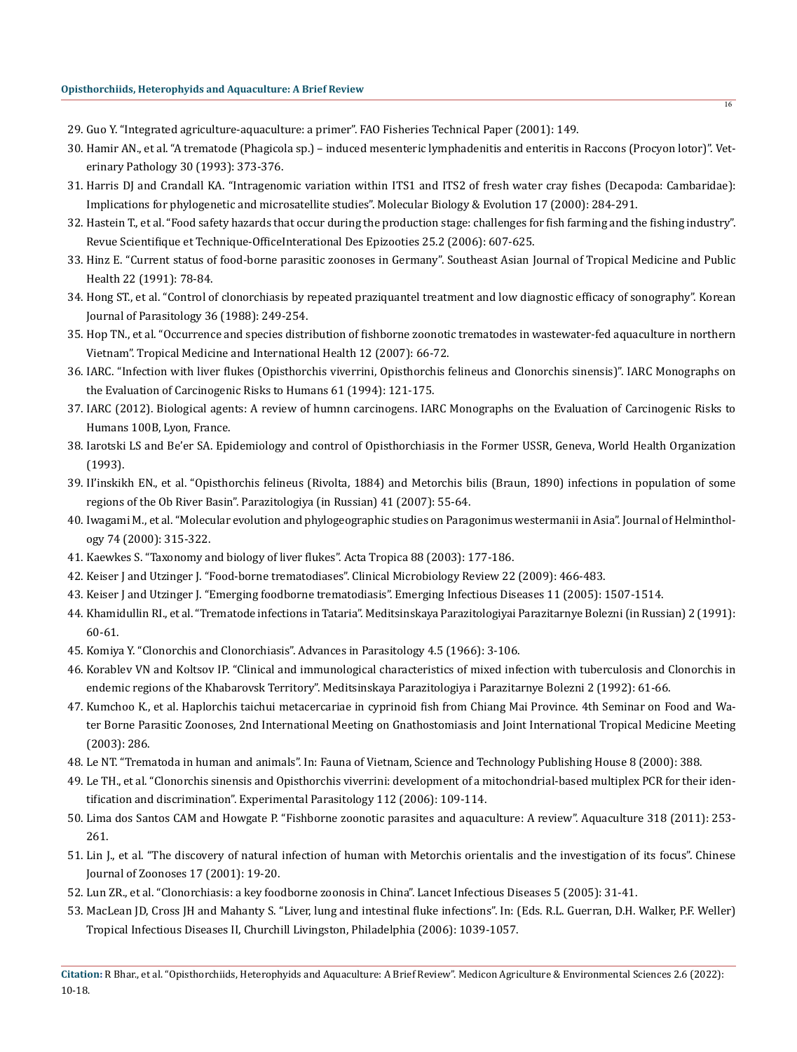- 29. Guo Y. "Integrated agriculture-aquaculture: a primer". FAO Fisheries Technical Paper (2001): 149.
- 30. Hamir AN., et al. "A trematode (Phagicola sp.) induced mesenteric lymphadenitis and enteritis in Raccons (Procyon lotor)". Veterinary Pathology 30 (1993): 373-376.
- 31. Harris DJ and Crandall KA. "Intragenomic variation within ITS1 and ITS2 of fresh water cray fishes (Decapoda: Cambaridae): Implications for phylogenetic and microsatellite studies". Molecular Biology & Evolution 17 (2000): 284-291.
- 32. [Hastein T., et al. "Food safety hazards that occur during the production stage: challenges for fish farming and the fishing industry".](https://pubmed.ncbi.nlm.nih.gov/17094701/) [Revue Scientifique et Technique-OfficeInterational Des Epizooties 25.2 \(2006\): 607-625.](https://pubmed.ncbi.nlm.nih.gov/17094701/)
- 33. [Hinz E. "Current status of food-borne parasitic zoonoses in Germany". Southeast Asian Journal of Tropical Medicine and Public](https://pubmed.ncbi.nlm.nih.gov/1822942/) [Health 22 \(1991\): 78-84.](https://pubmed.ncbi.nlm.nih.gov/1822942/)
- 34. Hon[g ST., et al. "Control of clonorchiasis by repeated praziquantel treatment and low diagnostic efficacy of sonography". Korean](https://pubmed.ncbi.nlm.nih.gov/9868890/) [Journal of Parasitology 36 \(1988\): 249-254.](https://pubmed.ncbi.nlm.nih.gov/9868890/)
- 35. [Hop TN., et al. "Occurrence and species distribution of fishborne zoonotic trematodes in wastewater-fed aquaculture in northern](https://pubmed.ncbi.nlm.nih.gov/18005317/) [Vietnam". Tropical Medicine and International Health 12 \(2007\): 66-72.](https://pubmed.ncbi.nlm.nih.gov/18005317/)
- 36. [IARC. "Infection with liver flukes \(Opisthorchis viverrini, Opisthorchis felineus and Clonorchis sinensis\)". IARC Monographs on](https://pubmed.ncbi.nlm.nih.gov/7715069/) [the Evaluation of Carcinogenic Risks to Humans 61 \(1994\): 121-175.](https://pubmed.ncbi.nlm.nih.gov/7715069/)
- 37. IARC (2012). Biological agents: A review of humnn carcinogens. IARC Monographs on the Evaluation of Carcinogenic Risks to Humans 100B, Lyon, France.
- 38. Iarotski LS and Be'er SA. Epidemiology and control of Opisthorchiasis in the Former USSR, Geneva, World Health Organization (1993).
- 39. [II'inskikh EN., et al. "Opisthorchis felineus \(Rivolta, 1884\) and Metorchis bilis \(Braun, 1890\) infections in population of some](https://pubmed.ncbi.nlm.nih.gov/17460938/) [regions of the Ob River Basin". Parazitologiya \(in Russian\) 41 \(2007\): 55-64.](https://pubmed.ncbi.nlm.nih.gov/17460938/)
- 40. Iwagami M., et al. "Molecular evolution and phylogeographic studies on Paragonimus westermanii in Asia". Journal of Helminthology 74 (2000): 315-322.
- 41. [Kaewkes S. "Taxonomy and biology of liver flukes". Acta Tropica 88 \(2003\): 177-186.](https://pubmed.ncbi.nlm.nih.gov/14611872)
- 42. Keiser J and Utzinger J. "Food-borne trematodiases". Clinical Microbiology Review 22 (2009): 466-483.
- 43. [Keiser J and Utzinger J. "Emerging foodborne trematodiasis". Emerging Infectious Diseases 11 \(2005\): 1507-1514.](https://pubmed.ncbi.nlm.nih.gov/16318688)
- 44. [Khamidullin RI., et al. "Trematode infections in Tataria". Meditsinskaya Parazitologiyai Parazitarnye Bolezni \(in Russian\) 2 \(1991\):](https://pubmed.ncbi.nlm.nih.gov/1829788/) [60-61.](https://pubmed.ncbi.nlm.nih.gov/1829788/)
- 45. [Komiya Y. "Clonorchis and Clonorchiasis". Advances in Parasitology 4.5 \(1966\): 3-106.](https://pubmed.ncbi.nlm.nih.gov/31862466)
- 46. Korablev VN and Koltsov IP. "Clinical and immunological characteristics of mixed infection with tuberculosis and Clonorchis in endemic regions of the Khabarovsk Territory". Meditsinskaya Parazitologiya i Parazitarnye Bolezni 2 (1992): 61-66.
- 47. Kumchoo K., et al. Haplorchis taichui metacercariae in cyprinoid fish from Chiang Mai Province. 4th Seminar on Food and Water Borne Parasitic Zoonoses, 2nd International Meeting on Gnathostomiasis and Joint International Tropical Medicine Meeting (2003): 286.
- 48. Le NT. "Trematoda in human and animals". In: Fauna of Vietnam, Science and Technology Publishing House 8 (2000): 388.
- 49. [Le TH., et al. "Clonorchis sinensis and Opisthorchis viverrini: development of a mitochondrial-based multiplex PCR for their iden](https://pubmed.ncbi.nlm.nih.gov/16310774/)[tification and discrimination". Experimental Parasitology 112 \(2006\): 109-114.](https://pubmed.ncbi.nlm.nih.gov/16310774/)
- 50. Lima dos Santos CAM and Howgate P. "Fishborne zoonotic parasites and aquaculture: A review". Aquaculture 318 (2011): 253- 261.
- 51. Lin J., et al. "The discovery of natural infection of human with Metorchis orientalis and the investigation of its focus". Chinese Journal of Zoonoses 17 (2001): 19-20.
- 52. [Lun ZR., et al. "Clonorchiasis: a key foodborne zoonosis in China". Lancet Infectious Diseases 5 \(2005\): 31-41.](https://pubmed.ncbi.nlm.nih.gov/15620559/)
- 53. MacLean JD, Cross JH and Mahanty S. "Liver, lung and intestinal fluke infections". In: (Eds. R.L. Guerran, D.H. Walker, P.F. Weller) Tropical Infectious Diseases II, Churchill Livingston, Philadelphia (2006): 1039-1057.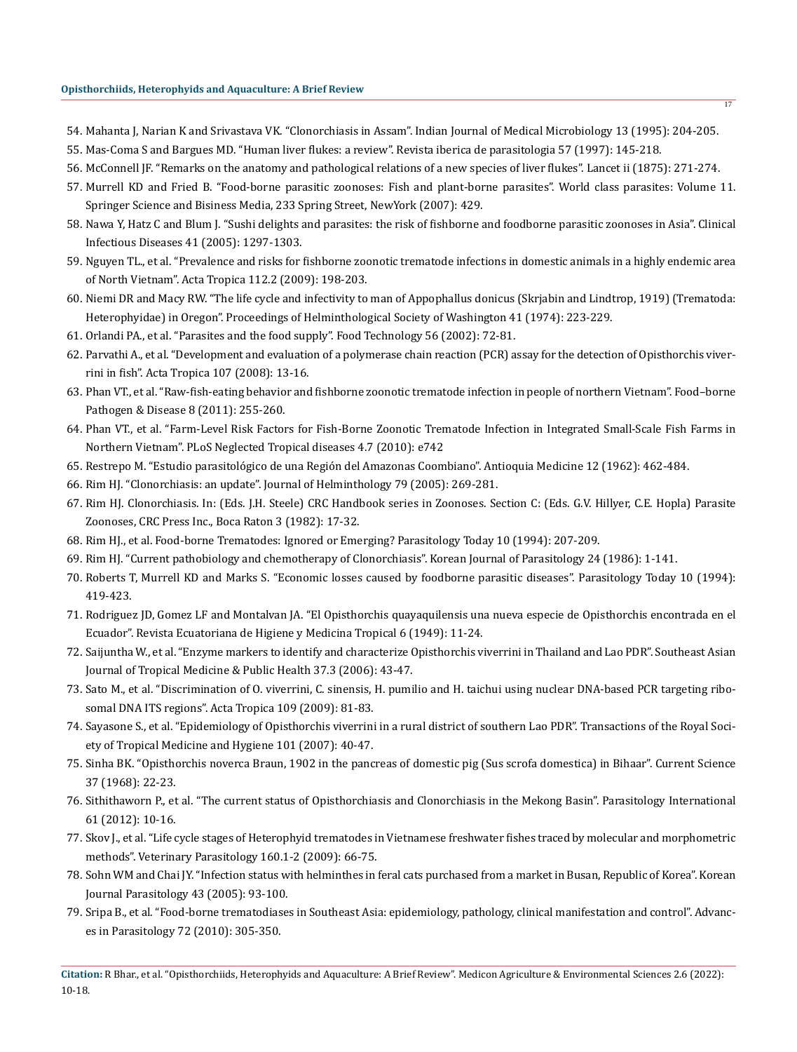- 54. Mahanta J, Narian K and Srivastava VK. "Clonorchiasis in Assam". Indian Journal of Medical Microbiology 13 (1995): 204-205.
- 55. Mas-Coma S and Bargues MD. "Human liver flukes: a review". Revista iberica de parasitologia 57 (1997): 145-218.
- 56. McConnell JF. "Remarks on the anatomy and pathological relations of a new species of liver flukes". Lancet ii (1875): 271-274.
- 57. Murrell KD and Fried B. "Food-borne parasitic zoonoses: Fish and plant-borne parasites". World class parasites: Volume 11. Springer Science and Bisiness Media, 233 Spring Street, NewYork (2007): 429.
- 58. Nawa Y, Hatz C and Blum J. "Sushi delights and parasites: the risk of fishborne and foodborne parasitic zoonoses in Asia". Clinical Infectious Diseases 41 (2005): 1297-1303.
- 59. [Nguyen TL., et al. "Prevalence and risks for fishborne zoonotic trematode infections in domestic animals in a highly endemic area](https://pubmed.ncbi.nlm.nih.gov/19660428/) [of North Vietnam". Acta Tropica 112.2 \(2009\): 198-203.](https://pubmed.ncbi.nlm.nih.gov/19660428/)
- 60. Niemi DR and Macy RW. "The life cycle and infectivity to man of Appophallus donicus (Skrjabin and Lindtrop, 1919) (Trematoda: Heterophyidae) in Oregon". Proceedings of Helminthological Society of Washington 41 (1974): 223-229.
- 61. Orlandi PA., et al. "Parasites and the food supply". Food Technology 56 (2002): 72-81.
- 62. [Parvathi A., et al. "Development and evaluation of a polymerase chain reaction \(PCR\) assay for the detection of Opisthorchis viver](https://pubmed.ncbi.nlm.nih.gov/18495082/)[rini in fish". Acta Tropica 107 \(2008\): 13-16.](https://pubmed.ncbi.nlm.nih.gov/18495082/)
- 63. [Phan VT., et al. "Raw-fish-eating behavior and fishborne zoonotic trematode infection in people of northern Vietnam". Food–borne](https://pubmed.ncbi.nlm.nih.gov/21117922/) [Pathogen & Disease 8 \(2011\): 255-260.](https://pubmed.ncbi.nlm.nih.gov/21117922/)
- 64. [Phan VT., et al. "Farm-Level Risk Factors for Fish-Borne Zoonotic Trematode Infection in Integrated Small-Scale Fish Farms in](https://pubmed.ncbi.nlm.nih.gov/20644617/) [Northern Vietnam". PLoS Neglected Tropical diseases 4.7 \(2010\): e742](https://pubmed.ncbi.nlm.nih.gov/20644617/)
- 65. Restrepo M. "Estudio parasitológico de una Región del Amazonas Coombiano". Antioquia Medicine 12 (1962): 462-484.
- 66. Rim HJ. "Clonorchiasis: an update". Journal of Helminthology 79 (2005): 269-281.
- 67. Rim HJ. Clonorchiasis. In: (Eds. J.H. Steele) CRC Handbook series in Zoonoses. Section C: (Eds. G.V. Hillyer, C.E. Hopla) Parasite Zoonoses, CRC Press Inc., Boca Raton 3 (1982): 17-32.
- 68. Rim HJ., et al. Food-borne Trematodes: Ignored or Emerging? Parasitology Today 10 (1994): 207-209.
- 69. [Rim HJ. "Current pathobiology and chemotherapy of Clonorchiasis". Korean Journal of Parasitology 24 \(1986\): 1-141.](https://pubmed.ncbi.nlm.nih.gov/12902642/)
- 70. [Roberts T, Murrell KD and Marks S. "Economic losses caused by foodborne parasitic diseases". Parasitology Today 10 \(1994\):](https://pubmed.ncbi.nlm.nih.gov/15275523/) [419-423.](https://pubmed.ncbi.nlm.nih.gov/15275523/)
- 71. Rodriguez JD, Gomez LF and Montalvan JA. "El Opisthorchis quayaquilensis una nueva especie de Opisthorchis encontrada en el Ecuador". Revista Ecuatoriana de Higiene y Medicina Tropical 6 (1949): 11[-24.](https://pubmed.ncbi.nlm.nih.gov/17547051/)
- 72. [Saijuntha W., et al. "Enzyme markers to identify and characterize Opisthorchis viverrini in Thailand and Lao PDR". Southeast Asian](https://pubmed.ncbi.nlm.nih.gov/17547051/) [Journal of Tropical Medicine & Public Health 37.3 \(2006\): 43-47.](https://pubmed.ncbi.nlm.nih.gov/17547051/)
- 73. [Sato M., et al. "Discrimination of O. viverrini, C. sinensis, H. pumilio and H. taichui using nuclear DNA-based PCR targeting ribo](https://pubmed.ncbi.nlm.nih.gov/18952037/)[somal DNA ITS regions". Acta Tropica 109 \(2009\): 81-83.](https://pubmed.ncbi.nlm.nih.gov/18952037/)
- 74. [Sayasone S., et al. "Epidemiology of Opisthorchis viverrini in a rural district of southern Lao PDR". Transactions of the Royal Soci](https://pubmed.ncbi.nlm.nih.gov/16828134/)[ety of Tropical Medicine and Hygiene 101 \(2007\): 40-47.](https://pubmed.ncbi.nlm.nih.gov/16828134/)
- 75. Sinha BK. "Opisthorchis noverca Braun, 1902 in the pancreas of domestic pig (Sus scrofa domestica) in Bihaar". Current Science 37 (1968): 22-23.
- 76. [Sithithaworn P., et al. "The current status of Opisthorchiasis and Clonorchiasis in the Mekong Basin". Parasitology International](https://pubmed.ncbi.nlm.nih.gov/21893213/) [61 \(2012\): 10-16.](https://pubmed.ncbi.nlm.nih.gov/21893213/)
- 77. [Skov J., et al. "Life cycle stages of Heterophyid trematodes in Vietnamese freshwater fishes traced by molecular and morphometric](https://pubmed.ncbi.nlm.nih.gov/19056180/) [methods". Veterinary Parasitology 160.1-2 \(2009\): 66-75.](https://pubmed.ncbi.nlm.nih.gov/19056180/)
- 78. [Sohn WM and Chai JY. "Infection status with helminthes in feral cats purchased from a market in Busan, Republic of Korea". Korean](https://pubmed.ncbi.nlm.nih.gov/16192750/) [Journal Parasitology 43 \(2005\): 93-100.](https://pubmed.ncbi.nlm.nih.gov/16192750/)
- 79. [Sripa B., et al. "Food-borne trematodiases in Southeast Asia: epidemiology, pathology, clinical manifestation and control". Advanc](https://pubmed.ncbi.nlm.nih.gov/20624536/)[es in Parasitology 72 \(2010\): 305-350.](https://pubmed.ncbi.nlm.nih.gov/20624536/)

**Citation:** R Bhar., et al. "Opisthorchiids, Heterophyids and Aquaculture: A Brief Review". Medicon Agriculture & Environmental Sciences 2.6 (2022): 10-18.

17